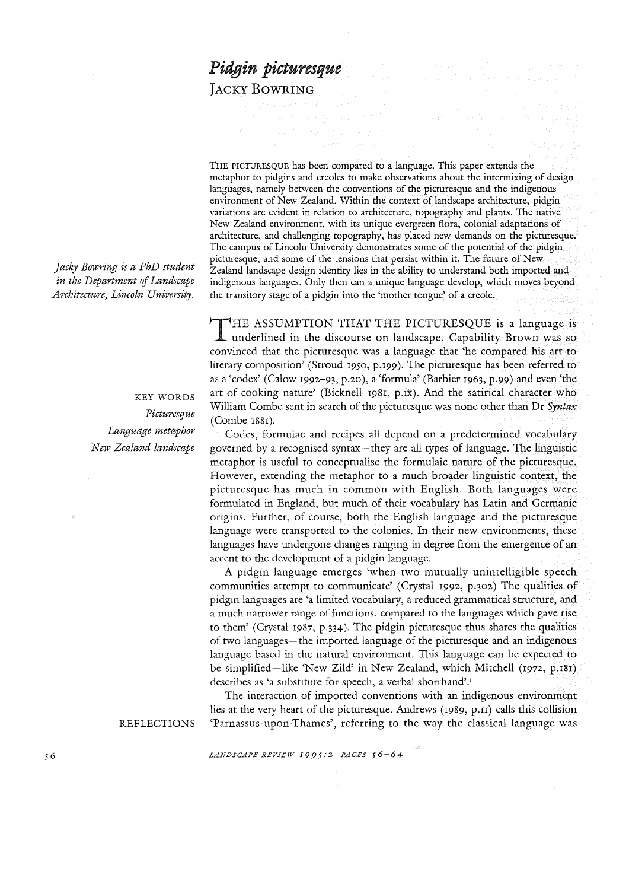# *Pidgin picturesque*

JACKY BOWRING

THE PICTURESQUE has been compared to a language. This paper extends the metaphor to pidgins and creoles to make observations about the intermixing of design languages, namely between the conventions of the picturesque and the indigenous environment of New Zealand. Within the context of landscape architecture, pidgin variations are evident in relation to architecture, topography and plants. The native New Zealand environment, with its unique evergreen flora, colonial adaptations of architecture, and challenging topography, has placed new demands on the picturesque. The campus of Lincoln University demonstrates some of the potential of the pidgin picturesque, and some of the tensions that persist within it. The future of New Zealand landscape design identity lies in the ability to understand both imported and indigenous languages. Only then can a unique language develop, which moves beyond the transitory stage of a pidgin into the 'mother tongue' of a creole.

*Jacky Bowring is a PhD student in the Department of Landscape Architecture) Lincoln University.* 

> KEY WORDS *Picturesque Language metaphor N CJV Zealand landscape*

THE ASSUMPTION THAT THE PICTURESQUE is a language is underlined in the discourse on landscape. Capability Brown was so convinced that the picturesque was a language that 'he compared his art to literary composition' (Stroud 1950, p.199). The picturesque has been referred to as a 'codex' (Calow 1992-93, p.20), a 'formula' (Barbier 1963, p.99 ) and even 'the art of cooking nature' (Bicknell 1981, p.ix). And the satirical character who William Combe sent in search of the picturesque was none other than Dr *Syntax*  (Combe 1881).

Codes, formulae and recipes all depend on a predetermined vocabulary governed by a recognised syntax-they are all types of language. The linguistic metaphor is useful to conceptualise the formulaic nature of the picturesque. However, extending the metaphor to a much broader linguistic context, the picturesque has much in common with English. Both languages were formulated in England, but much of their vocabulary has Latin and Germanic origins. Further, of course, both the English language and the picturesque language were transported to the colonies. In their new environments, these languages have undergone changes ranging in degree from the emergence of an accent to the development of a pidgin language.

A pidgin language emerges 'when two mutually unintelligible speech communities attempt to communicate' (Crystal 1992, p.302) The qualities of pidgin languages are 'a limited vocabulary, a reduced grammatical structure, and a much narrower range of functions, compared to the languages which gave rise to them' (Crystal 1987, p.334). The pidgin picturesque thus shares the qualities of two languages-the imported language of the picturesque and an indigenous language based in the natural environment. This language can be expected to be simplified-like 'New Zild' in New Zealand, which Mitchell (1972, p.181) describes as 'a substitute for speech, a verbal shorthand'.'

The interaction of imported conventions with an indigenous environment lies at the very heart of the picturesque. Andrews (1989, p.n) calls this collision 'Parnassus-upon-Thames', referring to the way the classical language was

REFLECTIONS

*LANDSCAPE REVIEW 1995:2 PAGES 56-64*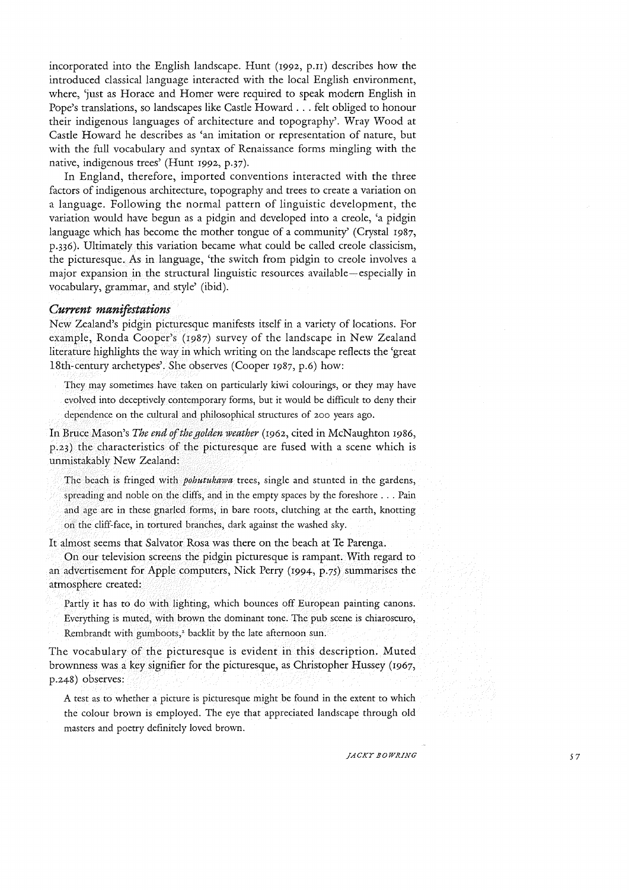incorporated into the English landscape. Hunt (1992, p.n) describes how the introduced classical language interacted with the local English environment, where, 'just as Horace and Homer were required to speak modern English in Pope's translations, so landscapes like Castle Howard ... felt obliged to honour their indigenous languages of architecture and topography'. Wray Wood at Castle Howard he describes as 'an imitation or representation of nature, but with the full vocabulary and syntax of Renaissance forms mingling with the native, indigenous trees' (Hunt 1992, p.37).

In England, therefore, imported conventions interacted with the three factors of indigenous architecture, topography and trees to create a variation on a language. Following the normal pattern of linguistic development, the variation would have begun as a pidgin and developed into a creole, 'a pidgin language which has become the mother tongue of a community' (Crystal 1987, p.336). Ultimately this variation became what could be called creole classicism, the picturesque. As in language, 'the switch from pidgin to creole involves a major expansion in the structural linguistic resources available-especially in vocabulary, grammar, and style' (ibid).

# *Current manifestations*

New Zealand's pidgin picturesque manifests itself in a variety of locations. For example, Ronda Cooper's (I987) survey of the landscape in New Zealand literature highlights the way in which writing on the landscape reflects the 'great 18th-century archetypes'. She observes (Cooper 1987, p.6) how:

They may sometimes have taken on particularly kiwi colourings, or they may have evolved into deceptively contemporary forms, but it would be difficult to deny their dependence on the cultural and philosophical structures of 200 years ago.

In Bruce Mason's *The end of the golden weather* (1962, cited in McNaughton I986, p.23) the characteristics of the picturesque are fused with a scene which is unmistakably New Zealand:

The beach is fringed with *pohutukawa* trees, single and stunted in the gardens, spreading and noble on the cliffs, and in the empty spaces by the foreshore ... Pain and age are in these gnarled forms, in bare roots, clutching at the earth, knotting on the cliff-face, in tortured branches, dark against the washed sky.

It almost seems that Salvator Rosa was there on the beach at Te Parenga.

On our television screens the pidgin picturesque is rampant. With regard to an advertisement for Apple computers, Nick Perry (1994, p.7S) summarises the atmosphere created:

Partly it has to do with lighting, which bounces off European painting canons. Everything is muted, with brown the dominant tone. The pub scene is chiaroscuro, Rembrandt with gumboots,<sup>2</sup> backlit by the late afternoon sun.

The vocabulary of the picturesque is evident in this description. Muted brownness was a key signifier for the picturesque, as Christopher Hussey (I967, p.248) observes:

A test as to whether a picture is picturesque might be found in the extent to which the colour brown is employed. The eye that appreciated landscape through old masters and poetry definitely loved brown.

*JACKY BOWRING* 57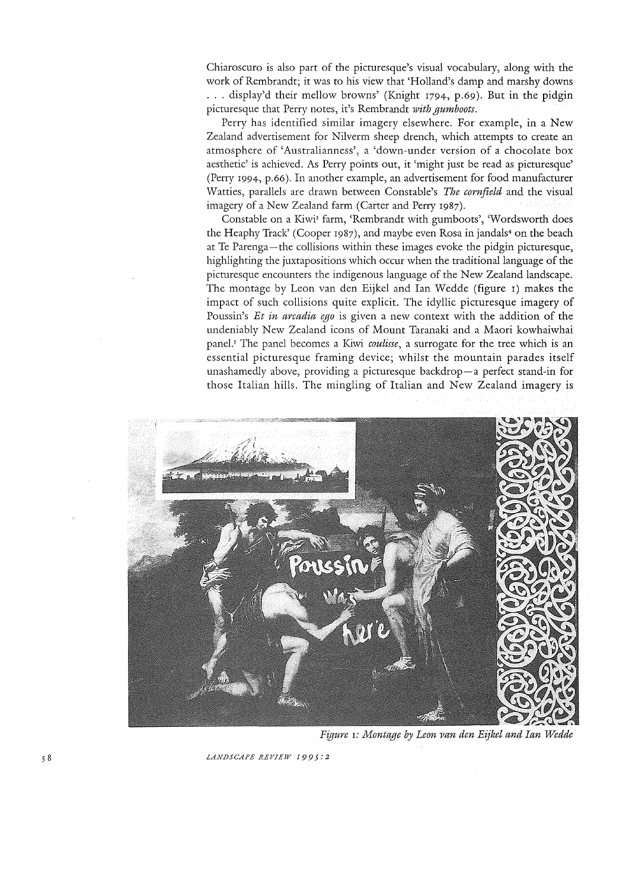Chiaroscuro is also part of the picturesque's visual vocabulary, along with the work of Rembrandt; it was to his view that 'Holland's damp and marshy downs ... display'd their mellow browns' (Knight 1794, p.69). But in the pidgin picturesque that Perry notes, it's Rembrandt *with gumboots.* 

Perry has identified similar imagery elsewhere. For example, in a New Zealand advertisement for Nilverm sheep drench, which attempts to create an atmosphere of 'Australianness', a 'down-under version of a chocolate box aesthetic' is achieved. As Perry points out, it 'might just be read as picturesque' (Perry 1994, p.66). In another example, an advertisement for food manufacturer Watties, parallels are drawn between Constable's *The cornfield* and the visual imagery of a New Zealand farm (Carter and Perry 1987).

Constable on a Kiwi; farm, 'Rembrandt with gumboots', 'Wordsworth does the Heaphy Track' (Cooper 1987), and maybe even Rosa in jandals+ on the beach at Te Parenga-the collisions within these images evoke the pidgin picturesque, highlighting the juxtapositions which occur when the traditional language of the picturesque encounters the indigenous language of the New Zealand landscape. The montage by Leon van den Eijkel and Ian Wedde (figure I) makes the impact of such collisions quite explicit. The idyllic picturesque imagery of Poussin's *Et in arcadia ego* is given a new context with the addition of the undeniably New Zealand icons of Mount Taranaki and a Maori kowhaiwhai panel.<sup>5</sup> The panel becomes a Kiwi *coulisse*, a surrogate for the tree which is an essential picturesque framing device; whilst the mountain parades itself unashamedly above, providing a picturesque backdrop-a perfect stand-in for those Italian hills. The mingling of Italian and New Zealand imagery is



*Figure* I: *Montage by Leon van den Eijkel and Ian Wedde* 

LANDSCAPE REVIEW 1995:2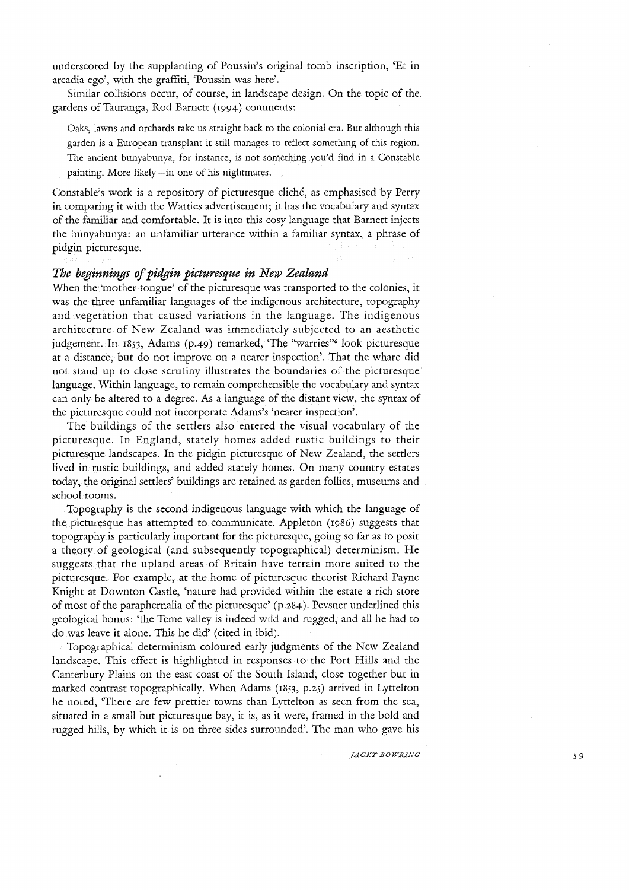underscored by the supplanting of Poussin's original tomb inscription, 'Et in arcadia ego', with the graffiti, 'Poussin was here'.

Similar collisions occur, of course, in landscape design. On the topic of the. gardens of Tauranga, Rod Barnett (1994) comments:

Oaks, lawns and orchards take us straight back to the colonial era. But although this garden is a European transplant it still manages to reflect something of this region. The ancient bunyabunya, for instance, is not something you'd find in a Constable painting. More likely-in one of his nightmares.

Constable's work is a repository of picturesque cliché, as emphasised by Perry in comparing it with the Watties advertisement; it has the vocabulary and syntax of the familiar and comfortable. It is into this cosy language that Barnett injects the bunyabunya: an unfamiliar utterance within a familiar syntax, a phrase of pidgin picturesque.

# *The bqJinnings of pidgin picturesque in New Zealand*

When the 'mother tongue' of the picturesque was transported to the colonies, it was the three unfamiliar languages of the indigenous architecture, topography and vegetation that caused variations in the language. The indigenous architecture of New Zealand was immediately subjected to an aesthetic judgement. In 1853, Adams (p.49) remarked, 'The "warries"<sup>6</sup> look picturesque at a distance, but do not improve on a nearer inspection'. That the whare did not stand up to close scrutiny illustrates the boundaries of the picturesque language. Within language, to remain comprehensible the vocabulary and syntax can only be altered to a degree. As a language of the distant view, the syntax of the picturesque could not incorporate Adams's 'nearer inspection'.

The buildings of the settlers also entered the visual vocabulary of the picturesque. In England, stately homes added rustic buildings to their picturesque landscapes. In the pidgin picturesque of New Zealand, the settlers lived in rustic buildings, and added stately homes. On many country estates today, the original settlers' buildings are retained as garden follies, museums and school rooms.

Topography is the second indigenous language with which the language of the picturesque has attempted to communicate. Appleton (1986) suggests that topography is particularly important for the picturesque, going so far as to posit a theory of geological (and subsequently topographical) determinism. He suggests that the upland areas of Britain have terrain more suited to the picturesque. For example, at the home of picturesque theorist Richard Payne Knight at Downton Castle, 'nature had provided within the estate a rich store of most of the paraphernalia of the picturesque' (p .284). Pevsner underlined this geological bonus: 'the Teme valley is indeed wild and rugged, and all he had to do was leave it alone. This he did' (cited in ibid).

Topographical determinism coloured early judgments of the New Zealand landscape. This effect is highlighted in responses to the Port Hills and the Canterbury Plains on the east coast of the South Island, close together but in marked contrast topographically. When Adams (1853, *p.2S)* arrived in Lyttelton he noted, 'There are few prettier towns than Lyttelton as seen from the sea, situated in a small but picturesque bay, it is, as it were, framed in the bold and rugged hills, by which it is on three sides surrounded'. The man who gave his

*JACKY.BOWRING* 59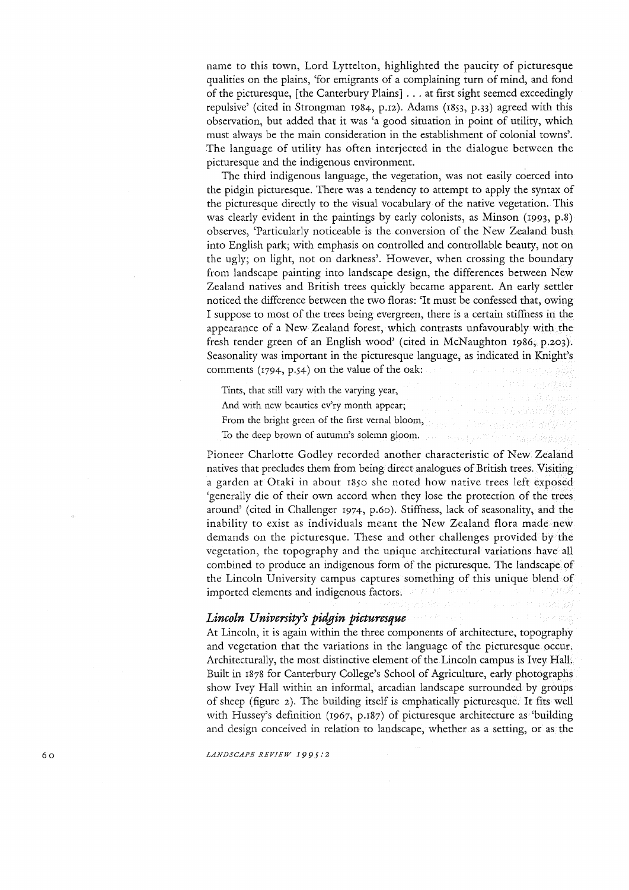name to this town, Lord Lyttelton, highlighted the paucity of picturesque qualities on the plains, 'for emigrants of a complaining turn of mind, and fond of the picturesque, [the Canterbury Plains] ... at first sight seemed exceedingly repulsive' (cited in Strongman 1984, p.12). Adams (1853, p.33) agreed with this observation, but added that it was 'a good situation in point of utility, which must always be the main consideration in the establishment of colonial towns'. The language of utility has often interjected in the dialogue between the picturesque and the indigenous environment.

The third indigenous language, the vegetation, was not easily coerced into the pidgin picturesque. There was a tendency to attempt to apply the syntax of the picturesque directly to the visual vocabulary of the native vegetation. This was clearly evident in the paintings by early colonists, as Minson (1993, p.8) observes, 'Particularly noticeable is the conversion of the New Zealand bush into English park; with emphasis on controlled and controllable beauty, not on the ugly; on light, not on darkness'. However, when crossing the boundary from landscape painting into landscape design, the differences between New Zealand natives and British trees quickly became apparent. An early settler noticed the difference between the two floras: 'It must be confessed that, owing I suppose to most of the trees being evergreen, there is a certain stiffness in the appearance of a New Zealand forest, which contrasts unfavourably with the fresh tender green of an English wood' (cited in McNaughton 1986, p.203). Seasonality was important in the picturesque language, as indicated in Knight's comments  $(1794, p.54)$  on the value of the oak:

Tints, that still vary with the varying year, And with new beauties ev'ry month appear; From the bright green of the first vernal bloom, To the deep brown of autumn's solemn gloom.

Pioneer Charlotte Godley recorded another characteristic of New Zealand natives that precludes them from being direct analogues of British trees. Visiting a garden at Otaki in about 1850 she noted how native trees left exposed 'generally die of their own accord when they lose the protection of the trees around' (cited in Challenger 1974, p.60). Stiffness, lack of seasonality, and the inability to exist as individuals meant the New Zealand flora made new demands on the picturesque. These and other challenges provided by the vegetation, the topography and the unique architectural variations have all combined to produce an indigenous form of the picturesque. The landscape of the Lincoln University campus captures something of this unique blend of imported elements and indigenous factors.

# *Lincoln University's pidgin picturesque*

At Lincoln, it is again within the three components of architecture, topography and vegetation that the variations in the language of the picturesque occur. Architecturally, the most distinctive element of the Lincoln campus is Ivey Hall. Built in 1878 for Canterbury College's School of Agriculture, early photographs show Ivey Hall within an informal, arcadian landscape surrounded by groups of sheep (figure 2). The building itself is emphatically picturesque. It fits well with Hussey's definition (1967, p.187) of picturesque architecture as 'building and design conceived in relation to landscape, whether as a setting, or as the

*LANDSCAPE REVIEW 1995:2* 

60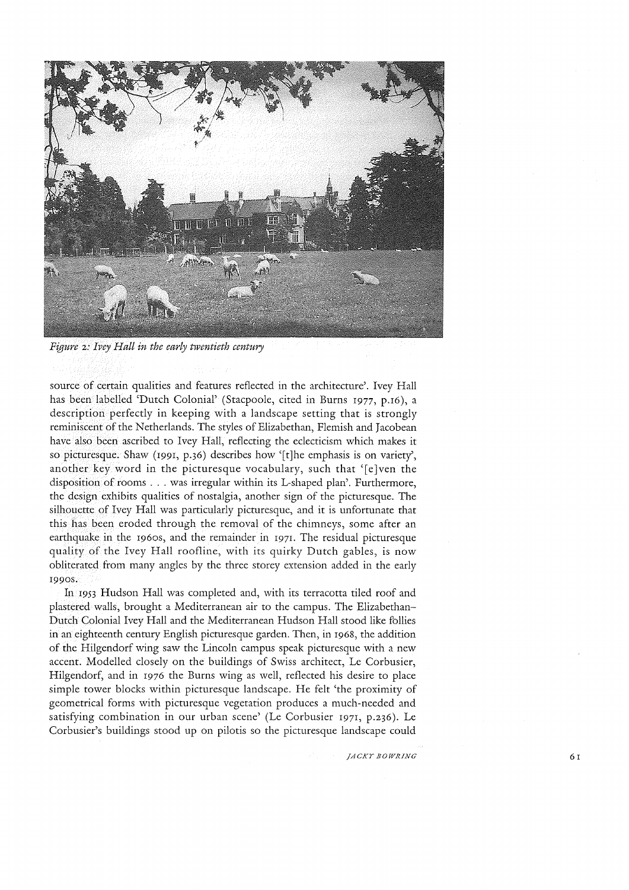

*Figure* 2: *Ivey Hall in the early twentieth century* 

source of certain qualities and features reflected in the architecture'. Ivey Hall has been labelled 'Dutch Colonial' (Stacpoole, cited in Burns I977, p.I6), a description perfectly in keeping with a landscape setting that is strongly reminiscent of the Netherlands. The styles of Elizabethan, Flemish and Jacobean have also been ascribed to Ivey Hall, reflecting the eclecticism which makes it so picturesque. Shaw (I99I, p.36) describes how '[tJhe emphasis is on variety', another key word in the picturesque vocabulary, such that '[e]ven the disposition of rooms ... was irregular within its L-shaped plan'. Furthermore, the design exhibits qualities of nostalgia, another sign of the picturesque. The silhouette of Ivey Hall was particularly picturesque, and it is unfortunate that this has been eroded through the removal of the chimneys, some after an earthquake in the I960s, and the remainder in I97I. The residual picturesque quality of the Ivey Hall roofline, with its quirky Dutch gables, is now obliterated from many angles by the three storey extension added in the early I9908.

In I953 Hudson Hall was completed and, with its terracotta tiled roof and plastered walls, brought a Mediterranean air to the campus. The Elizabethan-Dutch Colonial Ivey Hall and the Mediterranean Hudson Hall stood like follies in an eighteenth century English picturesque garden. Then, in I968, the addition of the Hilgendorf wing saw the Lincoln campus speak picturesque with a new accent. Modelled closely on the buildings of Swiss architect, Le Corbusier, Hilgendorf, and in I976 the Burns wing as well, reflected his desire to place simple tower blocks within picturesque landscape. He felt 'the proximity of geometrical forms with picturesque vegetation produces a much-needed and satisfying combination in our urban scene' (Le Corbusier I971, p.236). Le Corbusier's buildings stood up on pilotis so the picturesque landscape could

*JACKY BOWRING* 6r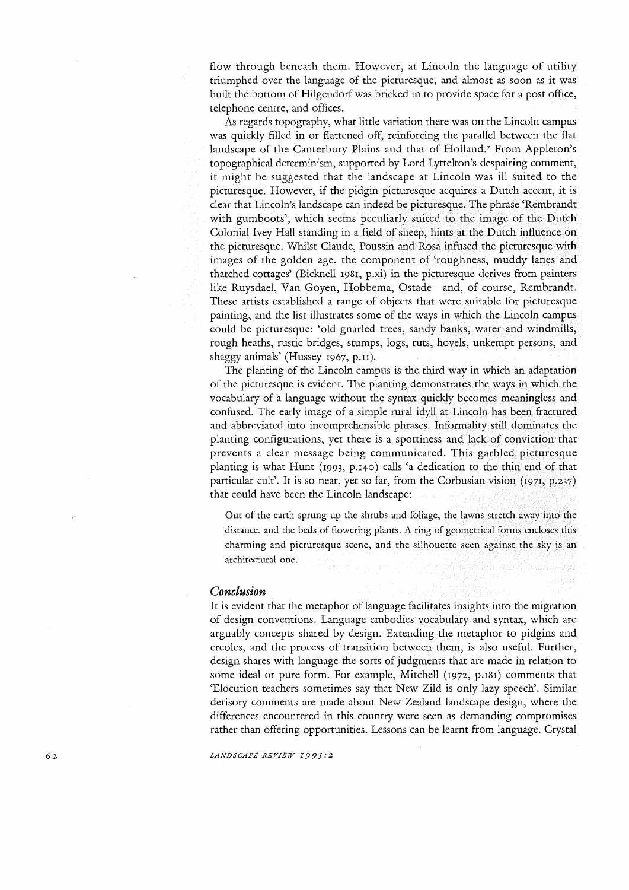flow through beneath them. However, at Lincoln the language of utility triumphed over the language of the picturesque, and almost as soon as it was built the bottom of Hilgendorf was bricked in to provide space for a post office, telephone centre, and offices.

As regards topography, what little variation there was on the Lincoln campus was quickly filled in or flattened off, reinforcing the parallel between the flat landscape of the Canterbury Plains and that of Holland.<sup>7</sup> From Appleton's topographical determinism, supported by Lord Lyttelton's despairing comment, it might be suggested that the landscape at Lincoln was ill suited to the picturesque. However, if the pidgin picturesque acquires a Dutch accent, it is clear that Lincoln's landscape can indeed be picturesque. The phrase 'Rembrandt with gumboots', which seems peculiarly suited to the image of the Dutch Colonial Ivey Hall standing in a field of sheep, hints at the Dutch influence on the picturesque. Whilst Claude, Poussin and Rosa infused the picturesque with images of the golden age, the component of 'roughness, muddy lanes and thatched cottages' (Bicknell 1981, p.xi) in the picturesque derives from painters like Ruysdael, Van Goyen, Hobbema, Ostade-and, of course, Rembrandt. These artists established a range of objects that were suitable for picturesque painting, and the list illustrates some of the ways in which the Lincoln campus could be picturesque: 'old gnarled trees, sandy banks, water and windmills, rough heaths, rustic bridges, stumps, logs, ruts, hovels, unkempt persons, and shaggy animals' (Hussey 1967, p.11).

The planting of the Lincoln campus is the third way in which an adaptation of the picturesque is evident. The planting demonstrates the ways in which the vocabulary of a language without the syntax quickly becomes meaningless and confused. The early image of a simple rural idyll at Lincoln has been fractured and abbreviated into incomprehensible phrases. Informality still dominates the planting configurations, yet there is a spottiness and lack of conviction that prevents a clear message being communicated. This garbled picturesque planting is what Hunt (1993, p.140) calls 'a dedication to the thin end of that particular cult'. It is so near, yet so far, from the Corbusian vision (1971, p.237) that could have been the Lincoln landscape:

Out of the earth sprung up the shrubs and foliage, the lawns stretch away into the distance, and the beds of flowering plants. A ring of geometrical forms encloses this charming and picturesque scene, and the silhouette seen against the sky is an architectural one.

## *Conclusion*

It is evident that the metaphor of language facilitates insights into the migration of design conventions. Language embodies vocabulary and syntax, which are arguably concepts shared by design. Extending the metaphor to pidgins and creoles, and the process of transition between them, is also useful. Further, design shares with language the sorts of judgments that are made in relation to some ideal or pure form. For example, Mitchell (1972, p.181) comments that 'Elocution teachers sometimes say that New Zild is only lazy speech'. Similar derisory comments are made about New Zealand landscape design, where the differences encountered in this country were seen as demanding compromises rather than offering opportunities. Lessons can be learnt from language. Crystal

*LANDSCAPE REVIEW 1995:2* 

62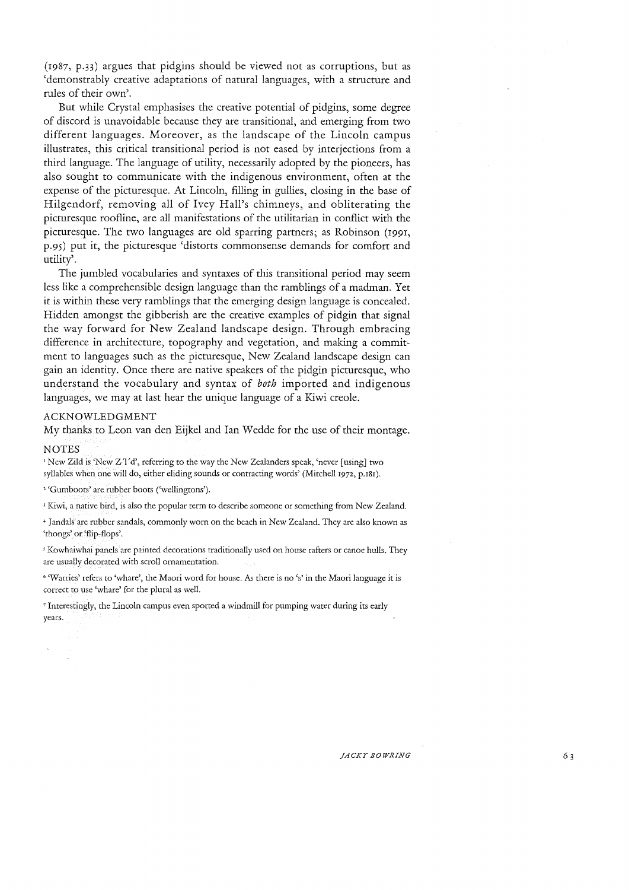(1987, p.33) argues that pidgins should be viewed not as corruptions, but as 'demonstrably creative adaptations of natural languages, with a structure and rules of their own'.

But while Crystal emphasises the creative potential of pidgins, some degree of discord is unavoidable because they are transitional, and emerging from two different languages. Moreover, as the landscape of the Lincoln campus illustrates, this critical transitional period is not eased by interjections from a third language. The language of utility, necessarily adopted by the pioneers, has also sought to communicate with the indigenous environment, often at the expense of the picturesque. At Lincoln, filling in gullies, closing in the base of Hilgendorf, removing all of Ivey Hall's chimneys, and obliterating the picturesque roofline, are all manifestations of the utilitarian in conflict with the picturesque. The two languages are old sparring partners; as Robinson (1991, p.9S) put it, the picturesque 'distorts commonsense demands for comfort and utility'.

The jumbled vocabularies and syntaxes of this transitional period may seem less like a comprehensible design language than the ramblings of a madman. Yet it is within these very ramblings that the emerging design language is concealed. Hidden amongst the gibberish are the creative examples of pidgin that signal the way forward for New Zealand landscape design. Through embracing difference in architecture, topography and vegetation, and making a commitment to languages such as the picturesque, New Zealand landscape design can gain an identity. Once there are native speakers of the pidgin picturesque, who understand the vocabulary and syntax of *both* imported and indigenous languages, we may at last hear the unique language of a Kiwi creole.

### ACKNOWLEDGMENT

My thanks to Leon van den Eijkel and Ian Wedde for the use of their montage.

#### **NOTES**

'New Zild is 'New Z'J'd', referring to the way the New Zealanders speak, 'never [using] two syllables when one will do, either eliding sounds or contracting words' (Mitchell 1972, p.181).

<sup>2</sup> 'Gumboots' are rubber boots ('wellingtons').

1 Kiwi, a native bird, is also the popular term to describe someone or something from New Zealand.

+ Jandals are rubber sandals, commonly worn on the beach in New Zealand. They are also known as 'thongs' or 'flip-flops'.

<sup>5</sup> Kowhaiwhai panels are painted decorations traditionally used on house rafters or canoe hulls. They arc usually decorated with scroll ornamentation.

<sup>6</sup>'Warries' refers to 'whare', the Maori word for house. As there is no's' in the Maori language it is correct to usc 'whare' for the plural as well.

7 Interestingly, the Lincoln campus even sported a windmill for pumping water during its early years.

*JACKY BOWRING*